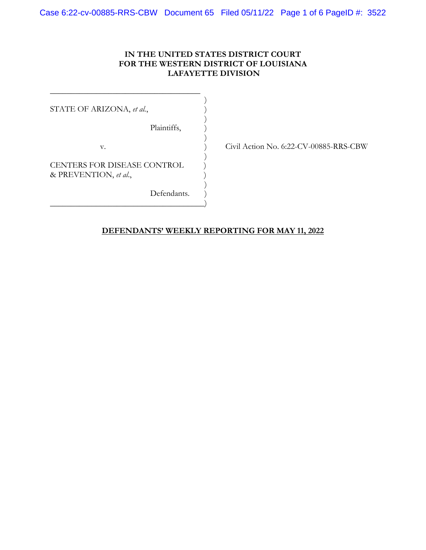#### **IN THE UNITED STATES DISTRICT COURT FOR THE WESTERN DISTRICT OF LOUISIANA LAFAYETTE DIVISION**

STATE OF ARIZONA, *et al.*,

 $)$ Plaintiffs, )

v. ) Civil Action No. 6:22-CV-00885-RRS-CBW

CENTERS FOR DISEASE CONTROL & PREVENTION, *et al*., )

\_\_\_\_\_\_\_\_\_\_\_\_\_\_\_\_\_\_\_\_\_\_\_\_\_\_\_\_\_\_\_\_\_\_\_\_  $)$ 

 $)$ 

 $)$ 

 $)$ 

\_\_\_\_\_\_\_\_\_\_\_\_\_\_\_\_\_\_\_\_\_\_\_\_\_\_\_\_\_\_\_\_\_\_\_\_\_)

Defendants.

## **DEFENDANTS' WEEKLY REPORTING FOR MAY 11, 2022**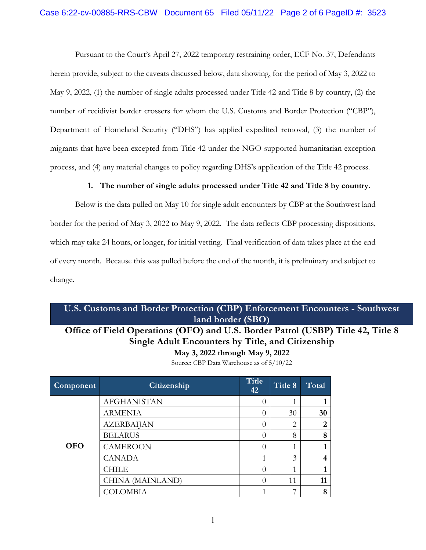Pursuant to the Court's April 27, 2022 temporary restraining order, ECF No. 37, Defendants herein provide, subject to the caveats discussed below, data showing, for the period of May 3, 2022 to May 9, 2022, (1) the number of single adults processed under Title 42 and Title 8 by country, (2) the number of recidivist border crossers for whom the U.S. Customs and Border Protection ("CBP"), Department of Homeland Security ("DHS") has applied expedited removal, (3) the number of migrants that have been excepted from Title 42 under the NGO-supported humanitarian exception process, and (4) any material changes to policy regarding DHS's application of the Title 42 process.

### **1. The number of single adults processed under Title 42 and Title 8 by country.**

 Below is the data pulled on May 10 for single adult encounters by CBP at the Southwest land border for the period of May 3, 2022 to May 9, 2022. The data reflects CBP processing dispositions, which may take 24 hours, or longer, for initial vetting. Final verification of data takes place at the end of every month. Because this was pulled before the end of the month, it is preliminary and subject to change.

## **U.S. Customs and Border Protection (CBP) Enforcement Encounters - Southwest land border (SBO)**

# **Office of Field Operations (OFO) and U.S. Border Patrol (USBP) Title 42, Title 8 Single Adult Encounters by Title, and Citizenship May 3, 2022 through May 9, 2022**

Source: CBP Data Warehouse as of 5/10/22

| Component  | <b>Citizenship</b> | <b>Title</b><br>42 | Title 8 | Total          |
|------------|--------------------|--------------------|---------|----------------|
| <b>OFO</b> | <b>AFGHANISTAN</b> |                    |         |                |
|            | <b>ARMENIA</b>     | $\bigcap$          | 30      | 30             |
|            | <b>AZERBAIJAN</b>  |                    | 2       | $\overline{2}$ |
|            | <b>BELARUS</b>     | $\Omega$           | 8       | 8              |
|            | <b>CAMEROON</b>    |                    |         |                |
|            | <b>CANADA</b>      | 1                  | 3       |                |
|            | CHILE              | $\bigcap$          |         |                |
|            | CHINA (MAINLAND)   | $\left( \right)$   | 11      | 11             |
|            | COLOMBIA           |                    |         | 8              |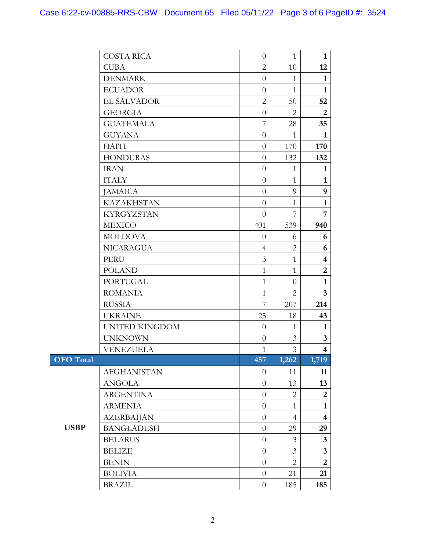|                  | <b>COSTA RICA</b>     | $\theta$       | $\mathbf{1}$   | $\mathbf{1}$            |
|------------------|-----------------------|----------------|----------------|-------------------------|
|                  | <b>CUBA</b>           | $\overline{2}$ | 10             | 12                      |
|                  | <b>DENMARK</b>        | $\overline{0}$ | $\mathbf{1}$   | $\mathbf{1}$            |
|                  | <b>ECUADOR</b>        | $\overline{0}$ | 1              | $\mathbf{1}$            |
|                  | <b>EL SALVADOR</b>    | $\overline{2}$ | 50             | 52                      |
|                  | <b>GEORGIA</b>        | $\theta$       | $\overline{2}$ | $\overline{2}$          |
|                  | <b>GUATEMALA</b>      | $\overline{7}$ | 28             | 35                      |
|                  | <b>GUYANA</b>         | $\theta$       | $\mathbf{1}$   | $\mathbf{1}$            |
|                  | <b>HAITI</b>          | $\theta$       | 170            | 170                     |
|                  | <b>HONDURAS</b>       | $\overline{0}$ | 132            | 132                     |
|                  | <b>IRAN</b>           | $\overline{0}$ | $\mathbf{1}$   | $\mathbf{1}$            |
|                  | <b>ITALY</b>          | $\theta$       | $\mathbf{1}$   | $\mathbf{1}$            |
|                  | <b>JAMAICA</b>        | $\theta$       | 9              | 9                       |
|                  | <b>KAZAKHSTAN</b>     | $\theta$       | $\mathbf{1}$   | $\mathbf{1}$            |
|                  | <b>KYRGYZSTAN</b>     | $\overline{0}$ | 7              | $\overline{7}$          |
|                  | <b>MEXICO</b>         | 401            | 539            | 940                     |
|                  | <b>MOLDOVA</b>        | $\overline{0}$ | 6              | 6                       |
|                  | <b>NICARAGUA</b>      | $\overline{4}$ | $\overline{2}$ | 6                       |
|                  | <b>PERU</b>           | 3              | $\mathbf{1}$   | $\overline{\mathbf{4}}$ |
|                  | <b>POLAND</b>         | $\mathbf{1}$   | $\mathbf{1}$   | $\overline{2}$          |
|                  | <b>PORTUGAL</b>       | $\mathbf{1}$   | $\overline{0}$ | $\mathbf{1}$            |
|                  | <b>ROMANIA</b>        | $\mathbf{1}$   | $\overline{2}$ | $\overline{3}$          |
|                  | <b>RUSSIA</b>         | $\overline{7}$ | 207            | 214                     |
|                  | <b>UKRAINE</b>        | 25             | 18             | 43                      |
|                  | <b>UNITED KINGDOM</b> | $\theta$       | 1              | $\mathbf{1}$            |
|                  | <b>UNKNOWN</b>        | $\theta$       | 3              | $\mathbf{3}$            |
|                  | VENEZUELA             | $\mathbf{1}$   | 3              | $\overline{\mathbf{4}}$ |
| <b>OFO</b> Total |                       | 457            | 1,262          | 1,719                   |
|                  | <b>AFGHANISTAN</b>    | $\overline{0}$ | 11             | 11                      |
|                  | <b>ANGOLA</b>         | $\theta$       | 13             | 13                      |
|                  | <b>ARGENTINA</b>      | $\theta$       | 2              | $\overline{2}$          |
|                  | <b>ARMENIA</b>        | $\overline{0}$ | $\mathbf{1}$   | $\mathbf{1}$            |
|                  | <b>AZERBAIJAN</b>     | $\theta$       | $\overline{4}$ | $\overline{\mathbf{4}}$ |
| <b>USBP</b>      | <b>BANGLADESH</b>     | $\theta$       | 29             | 29                      |
|                  | <b>BELARUS</b>        | $\theta$       | 3              | $\mathbf{3}$            |
|                  | <b>BELIZE</b>         | $\theta$       | 3              | $\mathbf{3}$            |
|                  | <b>BENIN</b>          | $\theta$       | 2              | $\overline{2}$          |
|                  | <b>BOLIVIA</b>        | $\overline{0}$ | 21             | 21                      |
|                  | <b>BRAZIL</b>         | $\theta$       | 185            | 185                     |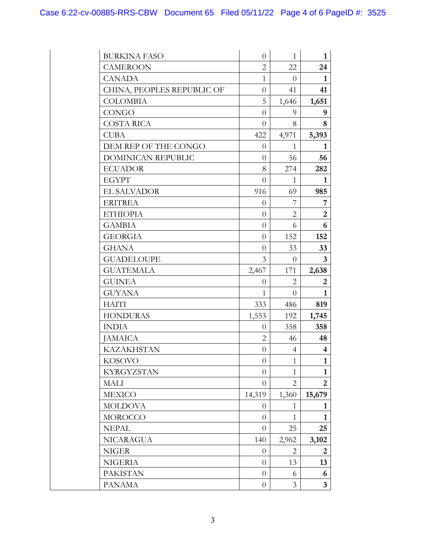| <b>BURKINA FASO</b>        | $\overline{0}$   | $\mathbf{1}$   | $\mathbf{1}$     |
|----------------------------|------------------|----------------|------------------|
| <b>CAMEROON</b>            | $\overline{2}$   | 22             | 24               |
| <b>CANADA</b>              | $\mathbf{1}$     | $\overline{0}$ | 1                |
| CHINA, PEOPLES REPUBLIC OF | $\overline{0}$   | 41             | 41               |
| <b>COLOMBIA</b>            | 5                | 1,646          | 1,651            |
| <b>CONGO</b>               | $\overline{0}$   | 9              | 9                |
| <b>COSTA RICA</b>          | $\overline{0}$   | 8              | 8                |
| <b>CUBA</b>                | 422              | 4,971          | 5,393            |
| DEM REP OF THE CONGO       | $\theta$         | 1              | 1                |
| DOMINICAN REPUBLIC         | $\theta$         | 56             | 56               |
| <b>ECUADOR</b>             | 8                | 274            | 282              |
| <b>EGYPT</b>               | $\theta$         | 1              | 1                |
| <b>EL SALVADOR</b>         | 916              | 69             | 985              |
| <b>ERITREA</b>             | $\theta$         | 7              | 7                |
| <b>ETHIOPIA</b>            | $\theta$         | $\overline{2}$ | $\overline{2}$   |
| <b>GAMBIA</b>              | $\theta$         | 6              | 6                |
| <b>GEORGIA</b>             | $\theta$         | 152            | 152              |
| <b>GHANA</b>               | $\theta$         | 33             | 33               |
| <b>GUADELOUPE</b>          | 3                | $\theta$       | $\mathbf{3}$     |
| <b>GUATEMALA</b>           | 2,467            | 171            | 2,638            |
| <b>GUINEA</b>              | $\theta$         | $\overline{2}$ | $\boldsymbol{2}$ |
| <b>GUYANA</b>              | $\mathbf{1}$     | $\overline{0}$ | $\mathbf{1}$     |
| <b>HAITI</b>               | 333              | 486            | 819              |
| <b>HONDURAS</b>            | 1,553            | 192            | 1,745            |
| <b>INDIA</b>               | $\theta$         | 358            | 358              |
| <b>JAMAICA</b>             | $\overline{2}$   | 46             | 48               |
| <b>KAZAKHSTAN</b>          | $\theta$         | 4              | 4                |
| <b>KOSOVO</b>              | $\boldsymbol{0}$ | $\mathbf{1}$   | $\mathbf{1}$     |
| <b>KYRGYZSTAN</b>          | $\theta$         | $\mathbf{1}$   | $\mathbf{1}$     |
| MALI                       | $\Omega$         | $\overline{2}$ | 2                |
| <b>MEXICO</b>              | 14,319           | 1,360          | 15,679           |
| <b>MOLDOVA</b>             | $\theta$         | $\mathbf{1}$   | 1                |
| MOROCCO                    | $\theta$         | 1              | 1                |
| <b>NEPAL</b>               | $\theta$         | 25             | 25               |
| <b>NICARAGUA</b>           | 140              | 2,962          | 3,102            |
| <b>NIGER</b>               | $\theta$         | 2              | 2                |
| <b>NIGERIA</b>             | $\Omega$         | 13             | 13               |
| <b>PAKISTAN</b>            | $\theta$         | 6              | 6                |
| <b>PANAMA</b>              | $\theta$         | 3              | $\mathbf{3}$     |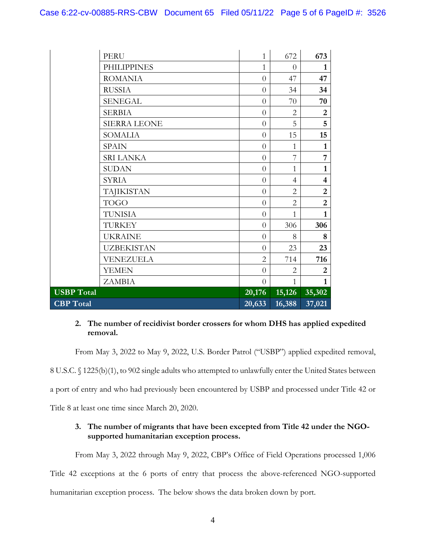|                   | <b>PERU</b>         | $\mathbf{1}$   | 672            | 673                     |
|-------------------|---------------------|----------------|----------------|-------------------------|
|                   | <b>PHILIPPINES</b>  | 1              | $\theta$       | 1                       |
|                   | <b>ROMANIA</b>      | $\overline{0}$ | 47             | 47                      |
|                   | <b>RUSSIA</b>       | $\theta$       | 34             | 34                      |
|                   | <b>SENEGAL</b>      | $\overline{0}$ | 70             | 70                      |
|                   | <b>SERBIA</b>       | $\overline{0}$ | $\overline{2}$ | $\overline{2}$          |
|                   | <b>SIERRA LEONE</b> | $\theta$       | 5              | 5                       |
|                   | <b>SOMALIA</b>      | $\theta$       | 15             | 15                      |
|                   | <b>SPAIN</b>        | $\overline{0}$ | 1              | $\mathbf{1}$            |
|                   | <b>SRI LANKA</b>    | $\overline{0}$ | 7              | 7                       |
|                   | <b>SUDAN</b>        | $\theta$       | $\mathbf{1}$   | $\mathbf{1}$            |
|                   | <b>SYRIA</b>        | $\overline{0}$ | $\overline{4}$ | $\overline{\mathbf{4}}$ |
|                   | <b>TAJIKISTAN</b>   | $\overline{0}$ | $\overline{2}$ | $\overline{2}$          |
|                   | <b>TOGO</b>         | $\theta$       | $\overline{2}$ | $\overline{2}$          |
|                   | TUNISIA             | $\overline{0}$ | $\mathbf{1}$   | $\mathbf{1}$            |
|                   | <b>TURKEY</b>       | $\theta$       | 306            | 306                     |
|                   | <b>UKRAINE</b>      | $\theta$       | 8              | 8                       |
|                   | <b>UZBEKISTAN</b>   | $\theta$       | 23             | 23                      |
|                   | VENEZUELA           | $\overline{2}$ | 714            | 716                     |
|                   | <b>YEMEN</b>        | $\overline{0}$ | $\overline{2}$ | $\boldsymbol{2}$        |
|                   | <b>ZAMBIA</b>       | $\theta$       | $\mathbf{1}$   | $\mathbf{1}$            |
| <b>USBP</b> Total |                     | 20,176         | 15,126         | 35,302                  |
| <b>CBP</b> Total  |                     | 20,633         | 16,388         | 37,021                  |

### **2. The number of recidivist border crossers for whom DHS has applied expedited removal.**

From May 3, 2022 to May 9, 2022, U.S. Border Patrol ("USBP") applied expedited removal,

8 U.S.C. § 1225(b)(1), to 902 single adults who attempted to unlawfully enter the United States between

a port of entry and who had previously been encountered by USBP and processed under Title 42 or

Title 8 at least one time since March 20, 2020.

### **3. The number of migrants that have been excepted from Title 42 under the NGOsupported humanitarian exception process.**

 From May 3, 2022 through May 9, 2022, CBP's Office of Field Operations processed 1,006 Title 42 exceptions at the 6 ports of entry that process the above-referenced NGO-supported humanitarian exception process. The below shows the data broken down by port.